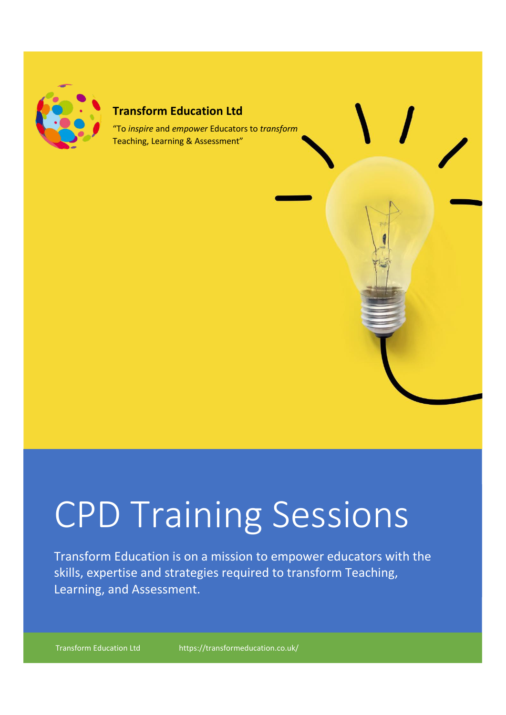

# **Transform Education Ltd**

"To *inspire* and *empower* Educators to *transform* Teaching, Learning & Assessment"

# CPD Training Sessions

Transform Education is on a mission to empower educators with the skills, expertise and strategies required to transform Teaching, Learning, and Assessment.

Transform Education Ltd https://transformeducation.co.uk/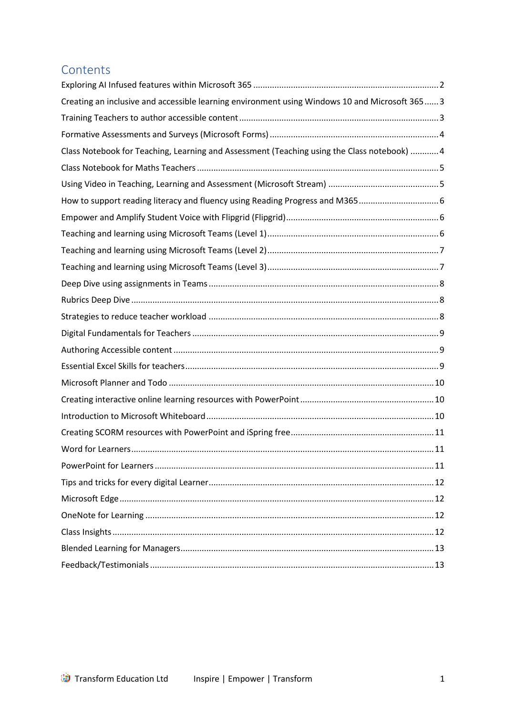# **Contents**

| Creating an inclusive and accessible learning environment using Windows 10 and Microsoft 365  3 |
|-------------------------------------------------------------------------------------------------|
|                                                                                                 |
|                                                                                                 |
| Class Notebook for Teaching, Learning and Assessment (Teaching using the Class notebook)  4     |
|                                                                                                 |
|                                                                                                 |
| How to support reading literacy and fluency using Reading Progress and M365 6                   |
|                                                                                                 |
|                                                                                                 |
|                                                                                                 |
|                                                                                                 |
|                                                                                                 |
|                                                                                                 |
|                                                                                                 |
|                                                                                                 |
|                                                                                                 |
|                                                                                                 |
|                                                                                                 |
|                                                                                                 |
|                                                                                                 |
|                                                                                                 |
|                                                                                                 |
|                                                                                                 |
|                                                                                                 |
|                                                                                                 |
|                                                                                                 |
|                                                                                                 |
|                                                                                                 |
|                                                                                                 |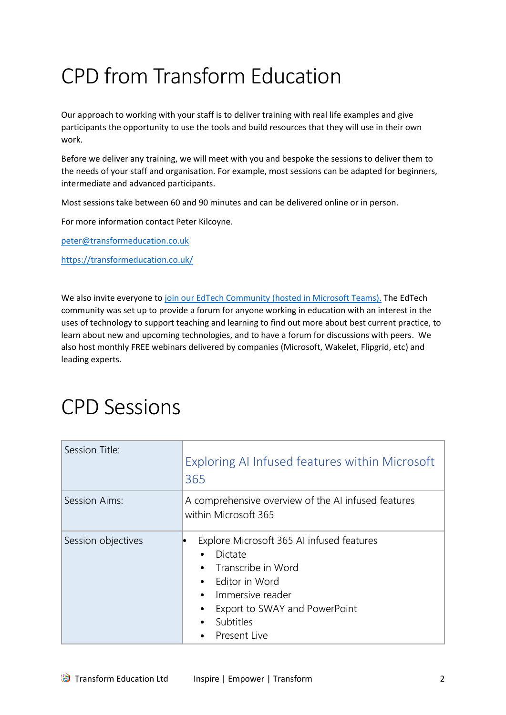# CPD from Transform Education

Our approach to working with your staff is to deliver training with real life examples and give participants the opportunity to use the tools and build resources that they will use in their own work.

Before we deliver any training, we will meet with you and bespoke the sessions to deliver them to the needs of your staff and organisation. For example, most sessions can be adapted for beginners, intermediate and advanced participants.

Most sessions take between 60 and 90 minutes and can be delivered online or in person.

For more information contact Peter Kilcoyne.

[peter@transformeducation.co.uk](mailto:peter@transformeducation.co.uk) 

<https://transformeducation.co.uk/>

We also invite everyone to [join our EdTech Community \(hosted in Microsoft Teams\).](https://transformeducation.co.uk/edtech-community/) The EdTech community was set up to provide a forum for anyone working in education with an interest in the uses of technology to support teaching and learning to find out more about best current practice, to learn about new and upcoming technologies, and to have a forum for discussions with peers. We also host monthly FREE webinars delivered by companies (Microsoft, Wakelet, Flipgrid, etc) and leading experts.

# CPD Sessions

<span id="page-2-0"></span>

| Session Title:     | Exploring AI Infused features within Microsoft<br>365                                                                                                                                                         |
|--------------------|---------------------------------------------------------------------------------------------------------------------------------------------------------------------------------------------------------------|
| Session Aims:      | A comprehensive overview of the AI infused features<br>within Microsoft 365                                                                                                                                   |
| Session objectives | Explore Microsoft 365 AI infused features<br>Dictate<br>Transcribe in Word<br>$\bullet$<br>Editor in Word<br>$\bullet$<br>Immersive reader<br>٠<br>Export to SWAY and PowerPoint<br>Subtitles<br>Present Live |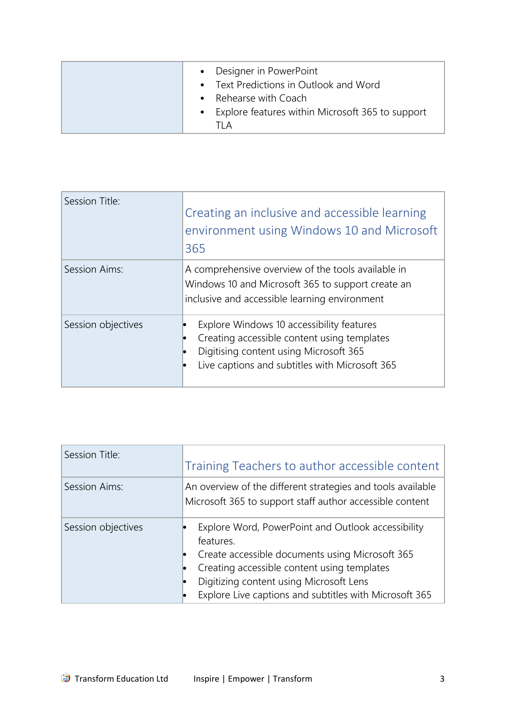|  | • Designer in PowerPoint<br>• Text Predictions in Outlook and Word<br>• Rehearse with Coach<br>• Explore features within Microsoft 365 to support<br>TI A |
|--|-----------------------------------------------------------------------------------------------------------------------------------------------------------|
|--|-----------------------------------------------------------------------------------------------------------------------------------------------------------|

<span id="page-3-0"></span>

| Session Title:     | Creating an inclusive and accessible learning<br>environment using Windows 10 and Microsoft<br>365                                                                                   |
|--------------------|--------------------------------------------------------------------------------------------------------------------------------------------------------------------------------------|
| Session Aims:      | A comprehensive overview of the tools available in<br>Windows 10 and Microsoft 365 to support create an<br>inclusive and accessible learning environment                             |
| Session objectives | Explore Windows 10 accessibility features<br>Creating accessible content using templates<br>Digitising content using Microsoft 365<br>Live captions and subtitles with Microsoft 365 |

<span id="page-3-1"></span>

| Session Title:     | Training Teachers to author accessible content                                                                                                                                                                                                                         |
|--------------------|------------------------------------------------------------------------------------------------------------------------------------------------------------------------------------------------------------------------------------------------------------------------|
| Session Aims:      | An overview of the different strategies and tools available<br>Microsoft 365 to support staff author accessible content                                                                                                                                                |
| Session objectives | Explore Word, PowerPoint and Outlook accessibility<br>features.<br>Create accessible documents using Microsoft 365<br>Creating accessible content using templates<br>Digitizing content using Microsoft Lens<br>Explore Live captions and subtitles with Microsoft 365 |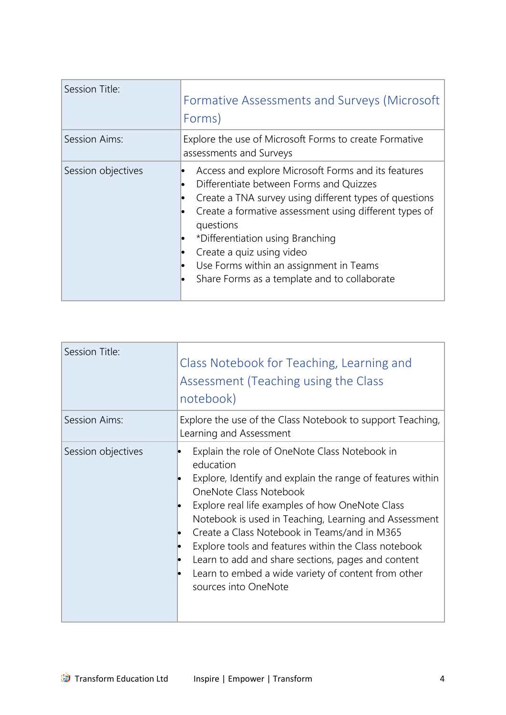<span id="page-4-0"></span>

| Session Title:     | Formative Assessments and Surveys (Microsoft<br>Forms)                                                                                                                                                                                                                                                                                                                                      |
|--------------------|---------------------------------------------------------------------------------------------------------------------------------------------------------------------------------------------------------------------------------------------------------------------------------------------------------------------------------------------------------------------------------------------|
| Session Aims:      | Explore the use of Microsoft Forms to create Formative<br>assessments and Surveys                                                                                                                                                                                                                                                                                                           |
| Session objectives | Access and explore Microsoft Forms and its features<br>Differentiate between Forms and Quizzes<br>Create a TNA survey using different types of questions<br>Create a formative assessment using different types of<br>questions<br>*Differentiation using Branching<br>Create a quiz using video<br>Use Forms within an assignment in Teams<br>Share Forms as a template and to collaborate |

<span id="page-4-1"></span>

| Session Title:     | Class Notebook for Teaching, Learning and<br>Assessment (Teaching using the Class<br>notebook)                                                                                                                                                                                                                                                                                                                                                                                                              |
|--------------------|-------------------------------------------------------------------------------------------------------------------------------------------------------------------------------------------------------------------------------------------------------------------------------------------------------------------------------------------------------------------------------------------------------------------------------------------------------------------------------------------------------------|
| Session Aims:      | Explore the use of the Class Notebook to support Teaching,<br>Learning and Assessment                                                                                                                                                                                                                                                                                                                                                                                                                       |
| Session objectives | Explain the role of OneNote Class Notebook in<br>education<br>Explore, Identify and explain the range of features within<br>OneNote Class Notebook<br>Explore real life examples of how OneNote Class<br>Notebook is used in Teaching, Learning and Assessment<br>Create a Class Notebook in Teams/and in M365<br>Explore tools and features within the Class notebook<br>Learn to add and share sections, pages and content<br>Learn to embed a wide variety of content from other<br>sources into OneNote |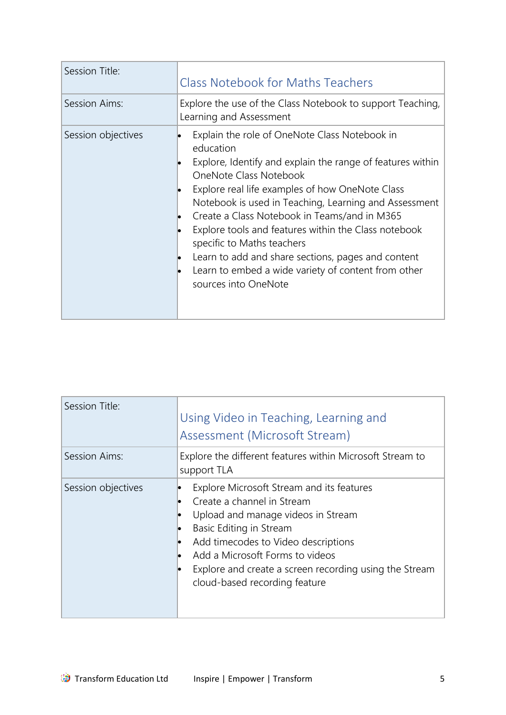<span id="page-5-0"></span>

| Session Title:     | <b>Class Notebook for Maths Teachers</b>                                                                                                                                                                                                                                                                                                                                                                                                                                                                                                  |
|--------------------|-------------------------------------------------------------------------------------------------------------------------------------------------------------------------------------------------------------------------------------------------------------------------------------------------------------------------------------------------------------------------------------------------------------------------------------------------------------------------------------------------------------------------------------------|
| Session Aims:      | Explore the use of the Class Notebook to support Teaching,<br>Learning and Assessment                                                                                                                                                                                                                                                                                                                                                                                                                                                     |
| Session objectives | Explain the role of OneNote Class Notebook in<br>education<br>Explore, Identify and explain the range of features within<br>OneNote Class Notebook<br>Explore real life examples of how OneNote Class<br>Notebook is used in Teaching, Learning and Assessment<br>Create a Class Notebook in Teams/and in M365<br>Explore tools and features within the Class notebook<br>specific to Maths teachers<br>Learn to add and share sections, pages and content<br>Learn to embed a wide variety of content from other<br>sources into OneNote |

<span id="page-5-1"></span>

| Session Title:     | Using Video in Teaching, Learning and<br>Assessment (Microsoft Stream)                                                                                                                                                                                                                                              |
|--------------------|---------------------------------------------------------------------------------------------------------------------------------------------------------------------------------------------------------------------------------------------------------------------------------------------------------------------|
| Session Aims:      | Explore the different features within Microsoft Stream to<br>support TLA                                                                                                                                                                                                                                            |
| Session objectives | Explore Microsoft Stream and its features<br>Create a channel in Stream<br>Upload and manage videos in Stream<br>Basic Editing in Stream<br>Add timecodes to Video descriptions<br>Add a Microsoft Forms to videos<br>lo<br>Explore and create a screen recording using the Stream<br>cloud-based recording feature |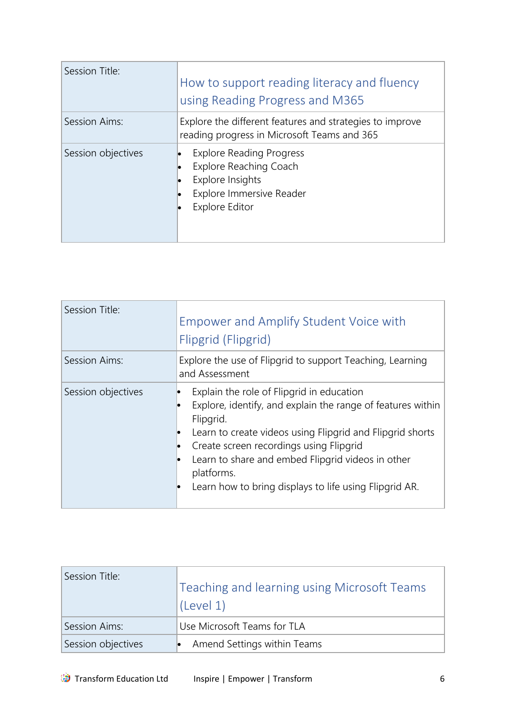<span id="page-6-0"></span>

| Session Title:     | How to support reading literacy and fluency<br>using Reading Progress and M365                                                     |
|--------------------|------------------------------------------------------------------------------------------------------------------------------------|
| Session Aims:      | Explore the different features and strategies to improve<br>reading progress in Microsoft Teams and 365                            |
| Session objectives | <b>Explore Reading Progress</b><br>Explore Reaching Coach<br>Explore Insights<br>Explore Immersive Reader<br><b>Explore Editor</b> |

<span id="page-6-1"></span>

| Session Title:     | <b>Empower and Amplify Student Voice with</b><br>Flipgrid (Flipgrid)                                                                                                                                                                                                                                                                                       |
|--------------------|------------------------------------------------------------------------------------------------------------------------------------------------------------------------------------------------------------------------------------------------------------------------------------------------------------------------------------------------------------|
| Session Aims:      | Explore the use of Flipgrid to support Teaching, Learning<br>and Assessment                                                                                                                                                                                                                                                                                |
| Session objectives | Explain the role of Flipgrid in education<br>Explore, identify, and explain the range of features within<br>Flipgrid.<br>Learn to create videos using Flipgrid and Flipgrid shorts<br>Create screen recordings using Flipgrid<br>Learn to share and embed Flipgrid videos in other<br>platforms.<br>Learn how to bring displays to life using Flipgrid AR. |

<span id="page-6-2"></span>

| Session Title:     | Teaching and learning using Microsoft Teams<br>'(Level 1) |
|--------------------|-----------------------------------------------------------|
| Session Aims:      | Use Microsoft Teams for TLA                               |
| Session objectives | Amend Settings within Teams                               |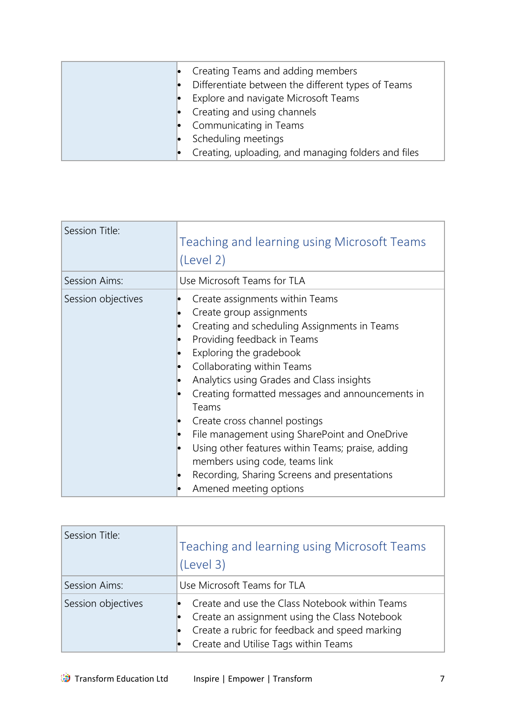| • Creating Teams and adding members                 |
|-----------------------------------------------------|
| Differentiate between the different types of Teams  |
| Explore and navigate Microsoft Teams                |
| • Creating and using channels                       |
| • Communicating in Teams                            |
| Scheduling meetings                                 |
| Creating, uploading, and managing folders and files |

<span id="page-7-0"></span>

| Session Title:     | Teaching and learning using Microsoft Teams<br>(Level 2)                                                                                                                                                                                                                                                                                                                                                                                                                                                                                                                                  |
|--------------------|-------------------------------------------------------------------------------------------------------------------------------------------------------------------------------------------------------------------------------------------------------------------------------------------------------------------------------------------------------------------------------------------------------------------------------------------------------------------------------------------------------------------------------------------------------------------------------------------|
| Session Aims:      | Use Microsoft Teams for TLA                                                                                                                                                                                                                                                                                                                                                                                                                                                                                                                                                               |
| Session objectives | Create assignments within Teams<br>Create group assignments<br>lo.<br>Creating and scheduling Assignments in Teams<br>lo<br>Providing feedback in Teams<br>Exploring the gradebook<br>Collaborating within Teams<br>Analytics using Grades and Class insights<br>Creating formatted messages and announcements in<br>Teams<br>Create cross channel postings<br>File management using SharePoint and OneDrive<br>lo<br>Using other features within Teams; praise, adding<br>members using code, teams link<br>Recording, Sharing Screens and presentations<br>lo<br>Amened meeting options |

<span id="page-7-1"></span>

| Session Title:     | Teaching and learning using Microsoft Teams<br>(Level 3)                                                                                                                                  |
|--------------------|-------------------------------------------------------------------------------------------------------------------------------------------------------------------------------------------|
| Session Aims:      | Use Microsoft Teams for TLA                                                                                                                                                               |
| Session objectives | Create and use the Class Notebook within Teams<br>Create an assignment using the Class Notebook<br>Create a rubric for feedback and speed marking<br>Create and Utilise Tags within Teams |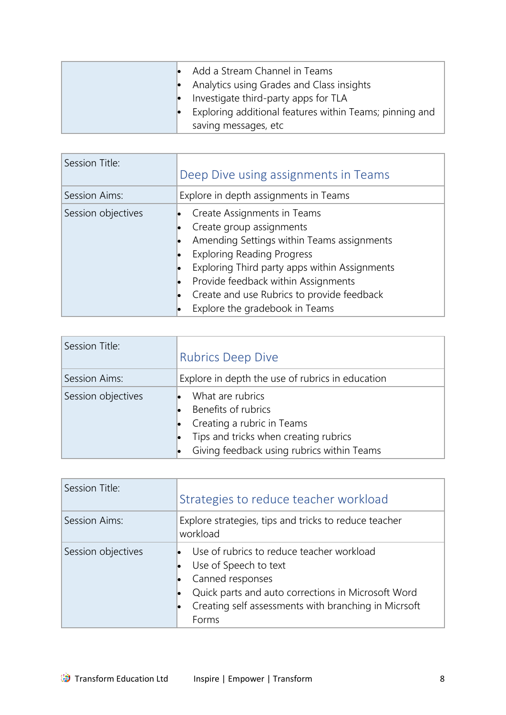| $\bullet$ Add a Stream Channel in Teams<br>• Analytics using Grades and Class insights |
|----------------------------------------------------------------------------------------|
| Investigate third-party apps for TLA                                                   |
| Exploring additional features within Teams; pinning and                                |
| saving messages, etc.                                                                  |

<span id="page-8-0"></span>

| Session Title:     | Deep Dive using assignments in Teams                                                                                                                                                                                                                                                                               |
|--------------------|--------------------------------------------------------------------------------------------------------------------------------------------------------------------------------------------------------------------------------------------------------------------------------------------------------------------|
| Session Aims:      | Explore in depth assignments in Teams                                                                                                                                                                                                                                                                              |
| Session objectives | Create Assignments in Teams<br>Create group assignments<br>Amending Settings within Teams assignments<br><b>Exploring Reading Progress</b><br>Exploring Third party apps within Assignments<br>Provide feedback within Assignments<br>Create and use Rubrics to provide feedback<br>Explore the gradebook in Teams |

<span id="page-8-1"></span>

| Session Title:     | <b>Rubrics Deep Dive</b>                                                                                                                                     |
|--------------------|--------------------------------------------------------------------------------------------------------------------------------------------------------------|
| Session Aims:      | Explore in depth the use of rubrics in education                                                                                                             |
| Session objectives | What are rubrics<br>Benefits of rubrics<br>Creating a rubric in Teams<br>Tips and tricks when creating rubrics<br>Giving feedback using rubrics within Teams |

<span id="page-8-2"></span>

| Session Title:     | Strategies to reduce teacher workload                                                                                                                                                                         |
|--------------------|---------------------------------------------------------------------------------------------------------------------------------------------------------------------------------------------------------------|
| Session Aims:      | Explore strategies, tips and tricks to reduce teacher<br>workload                                                                                                                                             |
| Session objectives | Use of rubrics to reduce teacher workload<br>Use of Speech to text<br>Canned responses<br>Quick parts and auto corrections in Microsoft Word<br>Creating self assessments with branching in Micrsoft<br>Forms |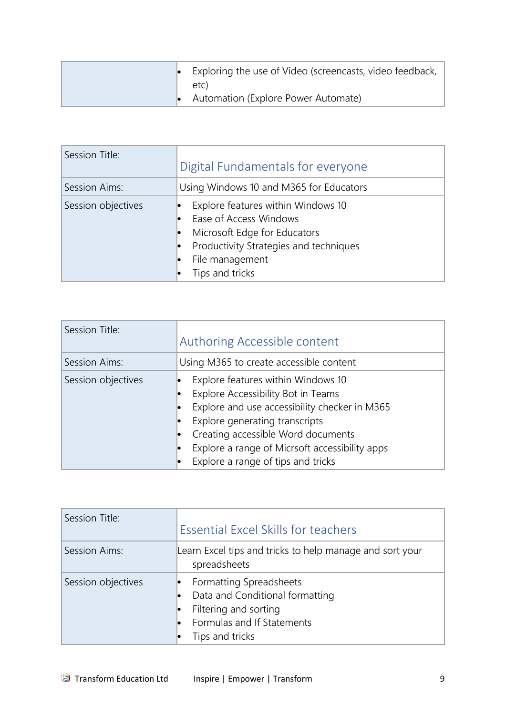| $\bullet$ Exploring the use of Video (screencasts, video feedback,<br>etc) |
|----------------------------------------------------------------------------|
| • Automation (Explore Power Automate)                                      |

<span id="page-9-0"></span>

| Session Title:     | Digital Fundamentals for everyone                                                                                                                                            |
|--------------------|------------------------------------------------------------------------------------------------------------------------------------------------------------------------------|
| Session Aims:      | Using Windows 10 and M365 for Educators                                                                                                                                      |
| Session objectives | Explore features within Windows 10<br>Ease of Access Windows<br>Microsoft Edge for Educators<br>Productivity Strategies and techniques<br>File management<br>Tips and tricks |

<span id="page-9-1"></span>

| Session Title:     | Authoring Accessible content                                                                                                                                                                                                                                                              |
|--------------------|-------------------------------------------------------------------------------------------------------------------------------------------------------------------------------------------------------------------------------------------------------------------------------------------|
| Session Aims:      | Using M365 to create accessible content                                                                                                                                                                                                                                                   |
| Session objectives | Explore features within Windows 10<br>Explore Accessibility Bot in Teams<br>Explore and use accessibility checker in M365<br>Explore generating transcripts<br>Creating accessible Word documents<br>Explore a range of Micrsoft accessibility apps<br>Explore a range of tips and tricks |

<span id="page-9-2"></span>

| Session Title:     | <b>Essential Excel Skills for teachers</b>                                                                                           |
|--------------------|--------------------------------------------------------------------------------------------------------------------------------------|
| Session Aims:      | Learn Excel tips and tricks to help manage and sort your<br>spreadsheets                                                             |
| Session objectives | Formatting Spreadsheets<br>Data and Conditional formatting<br>Filtering and sorting<br>Formulas and If Statements<br>Tips and tricks |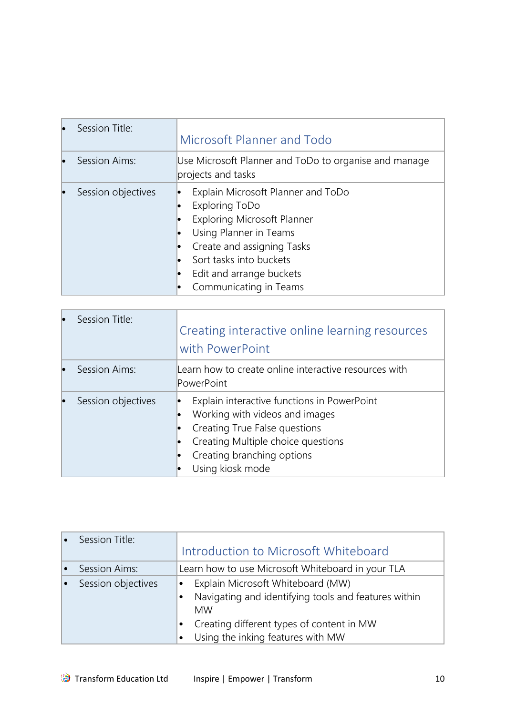<span id="page-10-0"></span>

| Session Title:     | Microsoft Planner and Todo                                                                                                                                                                                                          |
|--------------------|-------------------------------------------------------------------------------------------------------------------------------------------------------------------------------------------------------------------------------------|
| Session Aims:      | Use Microsoft Planner and ToDo to organise and manage<br>projects and tasks                                                                                                                                                         |
| Session objectives | Explain Microsoft Planner and ToDo<br>Exploring ToDo<br><b>Exploring Microsoft Planner</b><br>Using Planner in Teams<br>Create and assigning Tasks<br>Sort tasks into buckets<br>Edit and arrange buckets<br>Communicating in Teams |

<span id="page-10-1"></span>

|    | Session Title:     | Creating interactive online learning resources<br>with PowerPoint                                                                                                                                      |
|----|--------------------|--------------------------------------------------------------------------------------------------------------------------------------------------------------------------------------------------------|
| lo | Session Aims:      | Learn how to create online interactive resources with<br>PowerPoint                                                                                                                                    |
|    | Session objectives | Explain interactive functions in PowerPoint<br>Working with videos and images<br>Creating True False questions<br>Creating Multiple choice questions<br>Creating branching options<br>Using kiosk mode |

<span id="page-10-2"></span>

| Session Title:     | Introduction to Microsoft Whiteboard                                                                                                                                                                               |
|--------------------|--------------------------------------------------------------------------------------------------------------------------------------------------------------------------------------------------------------------|
| Session Aims:      | Learn how to use Microsoft Whiteboard in your TLA                                                                                                                                                                  |
| Session objectives | Explain Microsoft Whiteboard (MW)<br>$\bullet$<br>Navigating and identifying tools and features within<br><b>MW</b><br>Creating different types of content in MW<br>Using the inking features with MW<br>$\bullet$ |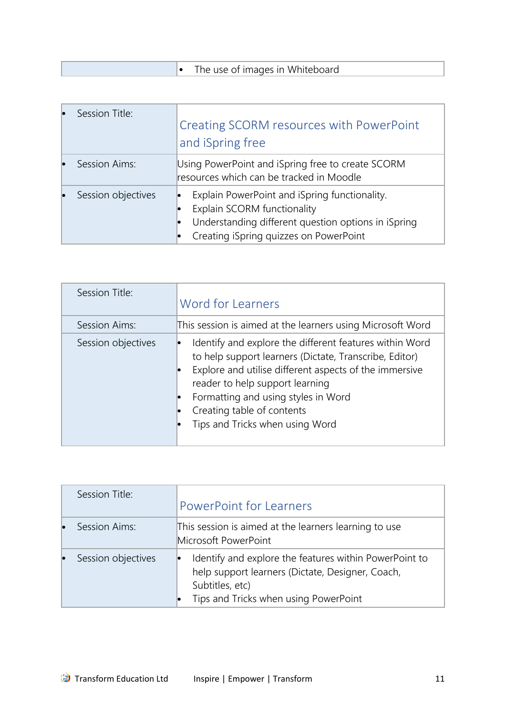|  | The use of images in Whiteboard |
|--|---------------------------------|
|  |                                 |

<span id="page-11-0"></span>

| Session Title:     | Creating SCORM resources with PowerPoint<br>and iSpring free                                                                                                                  |
|--------------------|-------------------------------------------------------------------------------------------------------------------------------------------------------------------------------|
| Session Aims:      | Using PowerPoint and iSpring free to create SCORM<br>resources which can be tracked in Moodle                                                                                 |
| Session objectives | Explain PowerPoint and iSpring functionality.<br>Explain SCORM functionality<br>Understanding different question options in iSpring<br>Creating iSpring quizzes on PowerPoint |

<span id="page-11-1"></span>

| Session Title:     | Word for Learners                                                                                                                                                                                                                                                                                                      |
|--------------------|------------------------------------------------------------------------------------------------------------------------------------------------------------------------------------------------------------------------------------------------------------------------------------------------------------------------|
| Session Aims:      | This session is aimed at the learners using Microsoft Word                                                                                                                                                                                                                                                             |
| Session objectives | Identify and explore the different features within Word<br>to help support learners (Dictate, Transcribe, Editor)<br>Explore and utilise different aspects of the immersive<br>reader to help support learning<br>Formatting and using styles in Word<br>Creating table of contents<br>Tips and Tricks when using Word |

<span id="page-11-2"></span>

| Session Title:     | <b>PowerPoint for Learners</b>                                                                                                                                         |
|--------------------|------------------------------------------------------------------------------------------------------------------------------------------------------------------------|
| Session Aims:      | This session is aimed at the learners learning to use<br>Microsoft PowerPoint                                                                                          |
| Session objectives | Identify and explore the features within PowerPoint to<br>help support learners (Dictate, Designer, Coach,<br>Subtitles, etc)<br>Tips and Tricks when using PowerPoint |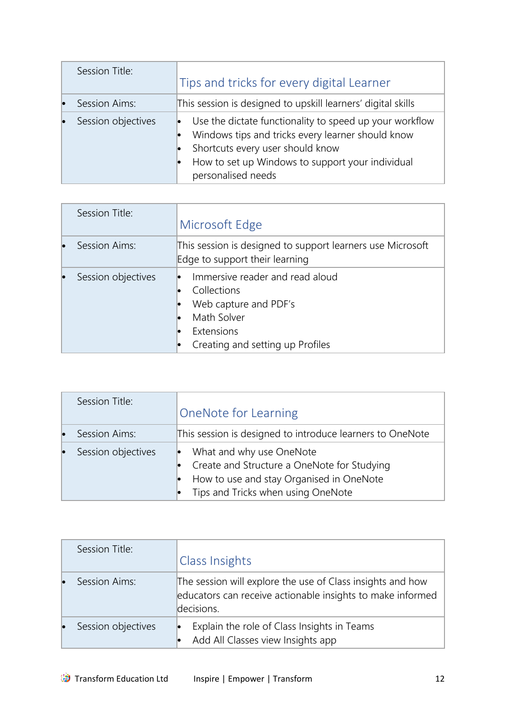<span id="page-12-0"></span>

| Session Title:     | Tips and tricks for every digital Learner                                                                                                                                                                                  |
|--------------------|----------------------------------------------------------------------------------------------------------------------------------------------------------------------------------------------------------------------------|
| Session Aims:      | This session is designed to upskill learners' digital skills                                                                                                                                                               |
| Session objectives | Use the dictate functionality to speed up your workflow<br>Windows tips and tricks every learner should know<br>Shortcuts every user should know<br>How to set up Windows to support your individual<br>personalised needs |

<span id="page-12-1"></span>

|           | Session Title:     | Microsoft Edge                                                                                                                           |
|-----------|--------------------|------------------------------------------------------------------------------------------------------------------------------------------|
| <b>Io</b> | Session Aims:      | This session is designed to support learners use Microsoft<br>Edge to support their learning                                             |
|           | Session objectives | Immersive reader and read aloud<br>Collections<br>Web capture and PDF's<br>Math Solver<br>Extensions<br>Creating and setting up Profiles |

<span id="page-12-2"></span>

|    | Session Title:     | <b>OneNote for Learning</b>                                                                                                                               |
|----|--------------------|-----------------------------------------------------------------------------------------------------------------------------------------------------------|
| lo | Session Aims:      | This session is designed to introduce learners to OneNote                                                                                                 |
| lo | Session objectives | What and why use OneNote<br>Create and Structure a OneNote for Studying<br>How to use and stay Organised in OneNote<br>Tips and Tricks when using OneNote |

<span id="page-12-3"></span>

| Session Title:     | Class Insights                                                                                                                         |
|--------------------|----------------------------------------------------------------------------------------------------------------------------------------|
| Session Aims:      | The session will explore the use of Class insights and how<br>educators can receive actionable insights to make informed<br>decisions. |
| Session objectives | Explain the role of Class Insights in Teams<br>Add All Classes view Insights app                                                       |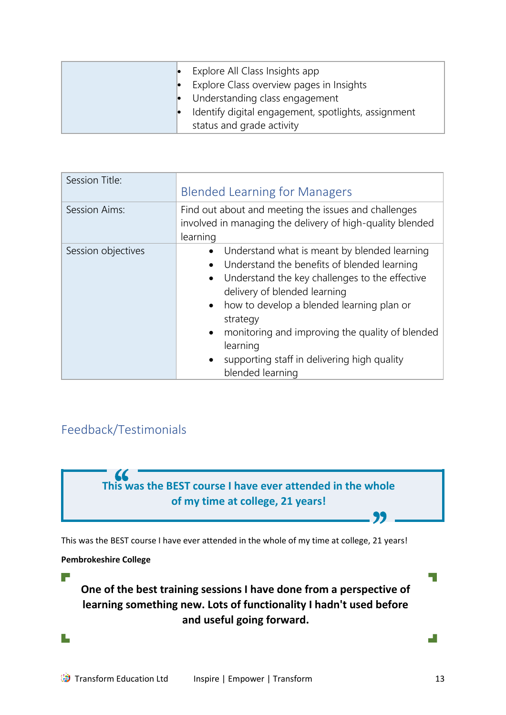| Explore All Class Insights app<br>Explore Class overview pages in Insights<br>$\bullet$ Understanding class engagement<br>Identify digital engagement, spotlights, assignment |
|-------------------------------------------------------------------------------------------------------------------------------------------------------------------------------|
| status and grade activity                                                                                                                                                     |

<span id="page-13-0"></span>

| Session Title:     | <b>Blended Learning for Managers</b>                                                                                                                                                                                                                                                                                                                                                                                                                   |
|--------------------|--------------------------------------------------------------------------------------------------------------------------------------------------------------------------------------------------------------------------------------------------------------------------------------------------------------------------------------------------------------------------------------------------------------------------------------------------------|
| Session Aims:      | Find out about and meeting the issues and challenges<br>involved in managing the delivery of high-quality blended<br>learning                                                                                                                                                                                                                                                                                                                          |
| Session objectives | Understand what is meant by blended learning<br>$\bullet$<br>Understand the benefits of blended learning<br>$\bullet$<br>Understand the key challenges to the effective<br>$\bullet$<br>delivery of blended learning<br>how to develop a blended learning plan or<br>$\bullet$<br>strategy<br>monitoring and improving the quality of blended<br>$\bullet$<br>learning<br>supporting staff in delivering high quality<br>$\bullet$<br>blended learning |

# <span id="page-13-1"></span>Feedback/Testimonials



**Pembrokeshire College**

 $\overline{\phantom{a}}$ 

L,

**One of the best training sessions I have done from a perspective of learning something new. Lots of functionality I hadn't used before and useful going forward.** 

۳

ДĪ,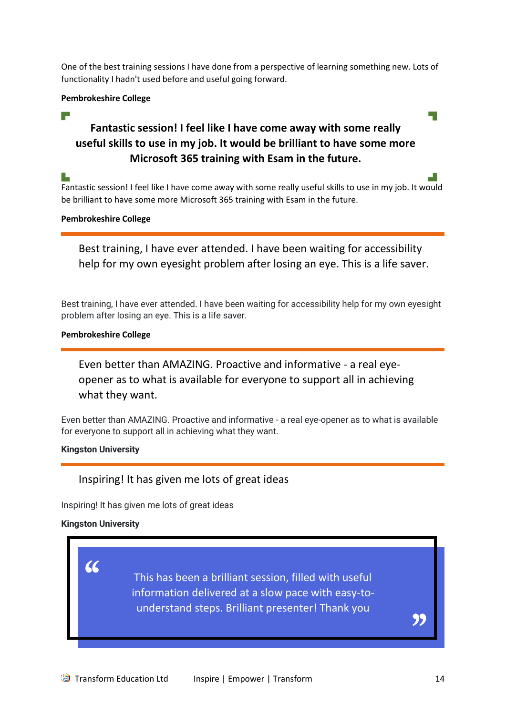One of the best training sessions I have done from a perspective of learning something new. Lots of functionality I hadn't used before and useful going forward.

### **Pembrokeshire College**

#### r and

# **Fantastic session! I feel like I have come away with some really useful skills to use in my job. It would be brilliant to have some more Microsoft 365 training with Esam in the future.**

Fantastic session! I feel like I have come away with some really useful skills to use in my job. It would be brilliant to have some more Microsoft 365 training with Esam in the future.

# **Pembrokeshire College**

Best training, I have ever attended. I have been waiting for accessibility help for my own eyesight problem after losing an eye. This is a life saver.

Best training, I have ever attended. I have been waiting for accessibility help for my own eyesight problem after losing an eye. This is a life saver.

# **Pembrokeshire College**

Even better than AMAZING. Proactive and informative - a real eyeopener as to what is available for everyone to support all in achieving what they want.

Even better than AMAZING. Proactive and informative - a real eye-opener as to what is available for everyone to support all in achieving what they want.

#### **Kingston University**

# Inspiring! It has given me lots of great ideas

Inspiring! It has given me lots of great ideas

# **Kingston University**

"

This has been a brilliant session, filled with useful information delivered at a slow pace with easy-tounderstand steps. Brilliant presenter! Thank you

))<br>|<br>|

Ц.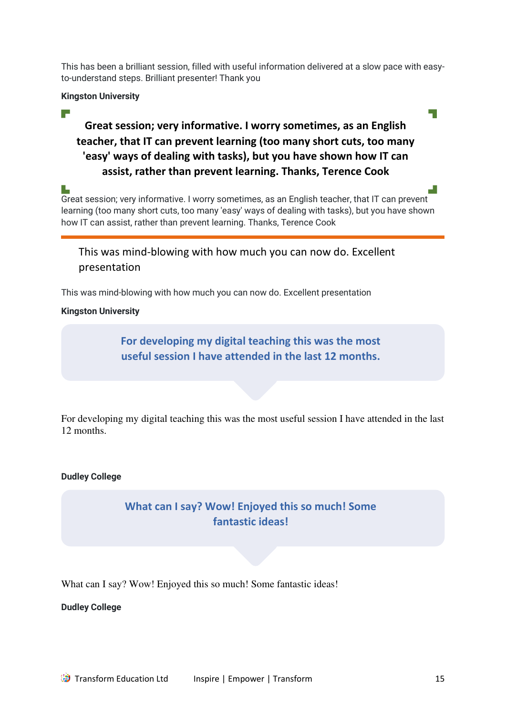This has been a brilliant session, filled with useful information delivered at a slow pace with easyto-understand steps. Brilliant presenter! Thank you

### **Kingston University**

# $\overline{\phantom{a}}$

# **Great session; very informative. I worry sometimes, as an English teacher, that IT can prevent learning (too many short cuts, too many 'easy' ways of dealing with tasks), but you have shown how IT can assist, rather than prevent learning. Thanks, Terence Cook**

Great session; very informative. I worry sometimes, as an English teacher, that IT can prevent learning (too many short cuts, too many 'easy' ways of dealing with tasks), but you have shown how IT can assist, rather than prevent learning. Thanks, Terence Cook

This was mind-blowing with how much you can now do. Excellent presentation

This was mind-blowing with how much you can now do. Excellent presentation

### **Kingston University**

**For developing my digital teaching this was the most useful session I have attended in the last 12 months.** 

For developing my digital teaching this was the most useful session I have attended in the last 12 months.

#### **Dudley College**

# **What can I say? Wow! Enjoyed this so much! Some fantastic ideas!**

What can I say? Wow! Enjoyed this so much! Some fantastic ideas!

**Dudley College**

 $\mathbb{R}^{\mathbb{Z}}$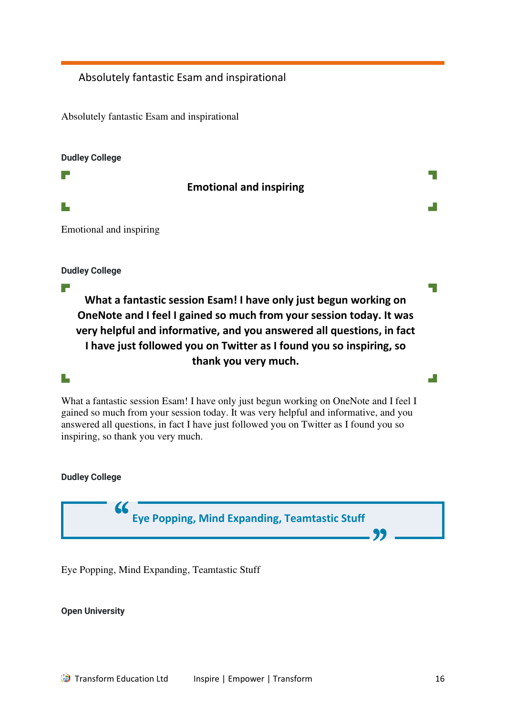# Absolutely fantastic Esam and inspirational

Absolutely fantastic Esam and inspirational

#### **Dudley College**

**Emotional and inspiring** 

L

r.

r an

Emotional and inspiring

**Dudley College**

**What a fantastic session Esam! I have only just begun working on OneNote and I feel I gained so much from your session today. It was very helpful and informative, and you answered all questions, in fact I have just followed you on Twitter as I found you so inspiring, so thank you very much.** 

# T.

What a fantastic session Esam! I have only just begun working on OneNote and I feel I gained so much from your session today. It was very helpful and informative, and you answered all questions, in fact I have just followed you on Twitter as I found you so inspiring, so thank you very much.

**Dudley College**



Eye Popping, Mind Expanding, Teamtastic Stuff

**Open University**

H.

 $\Box$ 

a.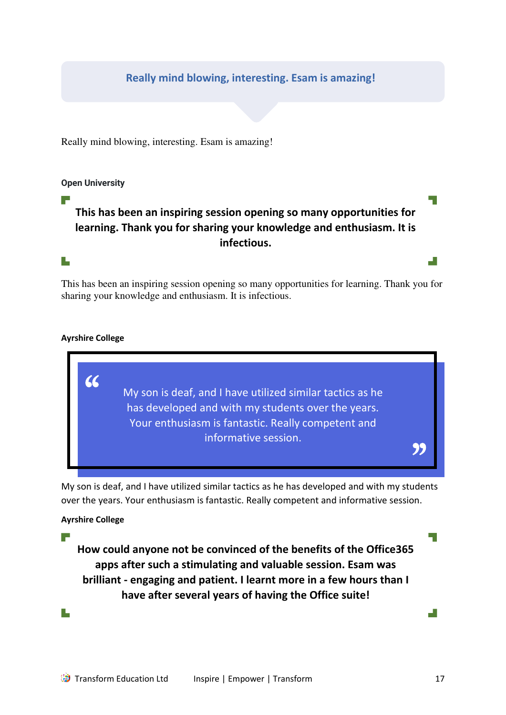# **Really mind blowing, interesting. Esam is amazing!**

Really mind blowing, interesting. Esam is amazing!

#### **Open University**

F

 $\Box$ 

# **This has been an inspiring session opening so many opportunities for learning. Thank you for sharing your knowledge and enthusiasm. It is infectious.**

This has been an inspiring session opening so many opportunities for learning. Thank you for sharing your knowledge and enthusiasm. It is infectious.

### **Ayrshire College**



My son is deaf, and I have utilized similar tactics as he has developed and with my students over the years. Your enthusiasm is fantastic. Really competent and informative session.

#### **Ayrshire College**

 $\overline{\phantom{a}}$ 

**How could anyone not be convinced of the benefits of the Office365 apps after such a stimulating and valuable session. Esam was brilliant - engaging and patient. I learnt more in a few hours than I have after several years of having the Office suite!** 

L,

ا ا

 $\overline{\phantom{a}}$ 

d.